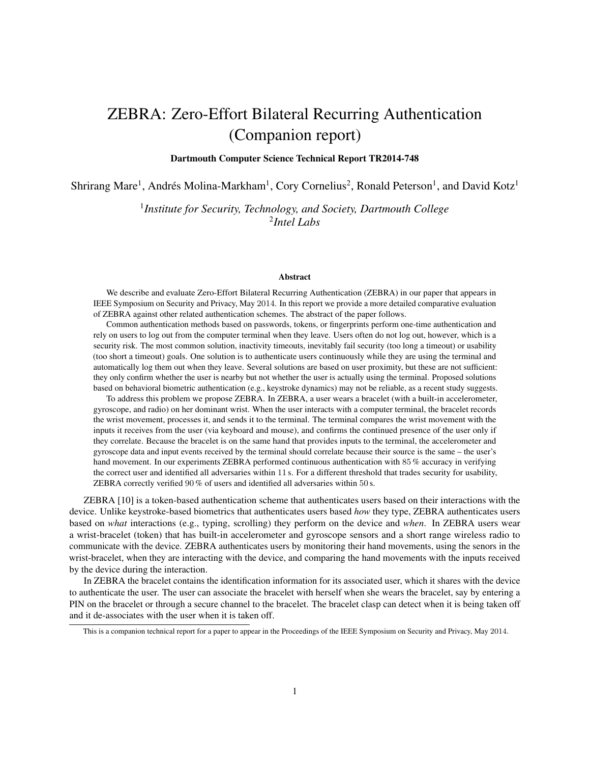# ZEBRA: Zero-Effort Bilateral Recurring Authentication (Companion report)

Dartmouth Computer Science Technical Report TR2014-748

Shrirang Mare<sup>1</sup>, Andrés Molina-Markham<sup>1</sup>, Cory Cornelius<sup>2</sup>, Ronald Peterson<sup>1</sup>, and David Kotz<sup>1</sup>

1 *Institute for Security, Technology, and Society, Dartmouth College* 2 *Intel Labs*

#### Abstract

We describe and evaluate Zero-Effort Bilateral Recurring Authentication (ZEBRA) in our paper that appears in IEEE Symposium on Security and Privacy, May 2014. In this report we provide a more detailed comparative evaluation of ZEBRA against other related authentication schemes. The abstract of the paper follows.

Common authentication methods based on passwords, tokens, or fingerprints perform one-time authentication and rely on users to log out from the computer terminal when they leave. Users often do not log out, however, which is a security risk. The most common solution, inactivity timeouts, inevitably fail security (too long a timeout) or usability (too short a timeout) goals. One solution is to authenticate users continuously while they are using the terminal and automatically log them out when they leave. Several solutions are based on user proximity, but these are not sufficient: they only confirm whether the user is nearby but not whether the user is actually using the terminal. Proposed solutions based on behavioral biometric authentication (e.g., keystroke dynamics) may not be reliable, as a recent study suggests.

To address this problem we propose ZEBRA. In ZEBRA, a user wears a bracelet (with a built-in accelerometer, gyroscope, and radio) on her dominant wrist. When the user interacts with a computer terminal, the bracelet records the wrist movement, processes it, and sends it to the terminal. The terminal compares the wrist movement with the inputs it receives from the user (via keyboard and mouse), and confirms the continued presence of the user only if they correlate. Because the bracelet is on the same hand that provides inputs to the terminal, the accelerometer and gyroscope data and input events received by the terminal should correlate because their source is the same – the user's hand movement. In our experiments ZEBRA performed continuous authentication with 85 % accuracy in verifying the correct user and identified all adversaries within 11 s. For a different threshold that trades security for usability, ZEBRA correctly verified 90 % of users and identified all adversaries within 50 s.

ZEBRA [\[10\]](#page-7-0) is a token-based authentication scheme that authenticates users based on their interactions with the device. Unlike keystroke-based biometrics that authenticates users based *how* they type, ZEBRA authenticates users based on *what* interactions (e.g., typing, scrolling) they perform on the device and *when*. In ZEBRA users wear a wrist-bracelet (token) that has built-in accelerometer and gyroscope sensors and a short range wireless radio to communicate with the device. ZEBRA authenticates users by monitoring their hand movements, using the senors in the wrist-bracelet, when they are interacting with the device, and comparing the hand movements with the inputs received by the device during the interaction.

In ZEBRA the bracelet contains the identification information for its associated user, which it shares with the device to authenticate the user. The user can associate the bracelet with herself when she wears the bracelet, say by entering a PIN on the bracelet or through a secure channel to the bracelet. The bracelet clasp can detect when it is being taken off and it de-associates with the user when it is taken off.

This is a companion technical report for a paper to appear in the Proceedings of the IEEE Symposium on Security and Privacy, May 2014.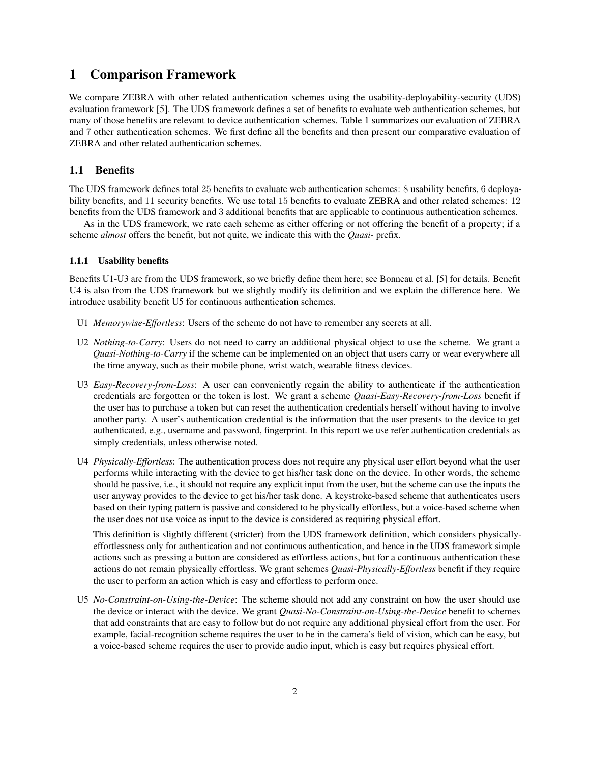# 1 Comparison Framework

We compare ZEBRA with other related authentication schemes using the usability-deployability-security (UDS) evaluation framework [\[5\]](#page-7-1). The UDS framework defines a set of benefits to evaluate web authentication schemes, but many of those benefits are relevant to device authentication schemes. Table [1](#page-3-0) summarizes our evaluation of ZEBRA and 7 other authentication schemes. We first define all the benefits and then present our comparative evaluation of ZEBRA and other related authentication schemes.

# 1.1 Benefits

The UDS framework defines total 25 benefits to evaluate web authentication schemes: 8 usability benefits, 6 deployability benefits, and 11 security benefits. We use total 15 benefits to evaluate ZEBRA and other related schemes: 12 benefits from the UDS framework and 3 additional benefits that are applicable to continuous authentication schemes.

As in the UDS framework, we rate each scheme as either offering or not offering the benefit of a property; if a scheme *almost* offers the benefit, but not quite, we indicate this with the *Quasi-* prefix.

#### 1.1.1 Usability benefits

Benefits U1-U3 are from the UDS framework, so we briefly define them here; see Bonneau et al. [\[5\]](#page-7-1) for details. Benefit U4 is also from the UDS framework but we slightly modify its definition and we explain the difference here. We introduce usability benefit U5 for continuous authentication schemes.

- U1 *Memorywise-Effortless*: Users of the scheme do not have to remember any secrets at all.
- U2 *Nothing-to-Carry*: Users do not need to carry an additional physical object to use the scheme. We grant a *Quasi-Nothing-to-Carry* if the scheme can be implemented on an object that users carry or wear everywhere all the time anyway, such as their mobile phone, wrist watch, wearable fitness devices.
- U3 *Easy-Recovery-from-Loss*: A user can conveniently regain the ability to authenticate if the authentication credentials are forgotten or the token is lost. We grant a scheme *Quasi-Easy-Recovery-from-Loss* benefit if the user has to purchase a token but can reset the authentication credentials herself without having to involve another party. A user's authentication credential is the information that the user presents to the device to get authenticated, e.g., username and password, fingerprint. In this report we use refer authentication credentials as simply credentials, unless otherwise noted.
- U4 *Physically-Effortless*: The authentication process does not require any physical user effort beyond what the user performs while interacting with the device to get his/her task done on the device. In other words, the scheme should be passive, i.e., it should not require any explicit input from the user, but the scheme can use the inputs the user anyway provides to the device to get his/her task done. A keystroke-based scheme that authenticates users based on their typing pattern is passive and considered to be physically effortless, but a voice-based scheme when the user does not use voice as input to the device is considered as requiring physical effort.

This definition is slightly different (stricter) from the UDS framework definition, which considers physicallyeffortlessness only for authentication and not continuous authentication, and hence in the UDS framework simple actions such as pressing a button are considered as effortless actions, but for a continuous authentication these actions do not remain physically effortless. We grant schemes *Quasi-Physically-Effortless* benefit if they require the user to perform an action which is easy and effortless to perform once.

U5 *No-Constraint-on-Using-the-Device*: The scheme should not add any constraint on how the user should use the device or interact with the device. We grant *Quasi-No-Constraint-on-Using-the-Device* benefit to schemes that add constraints that are easy to follow but do not require any additional physical effort from the user. For example, facial-recognition scheme requires the user to be in the camera's field of vision, which can be easy, but a voice-based scheme requires the user to provide audio input, which is easy but requires physical effort.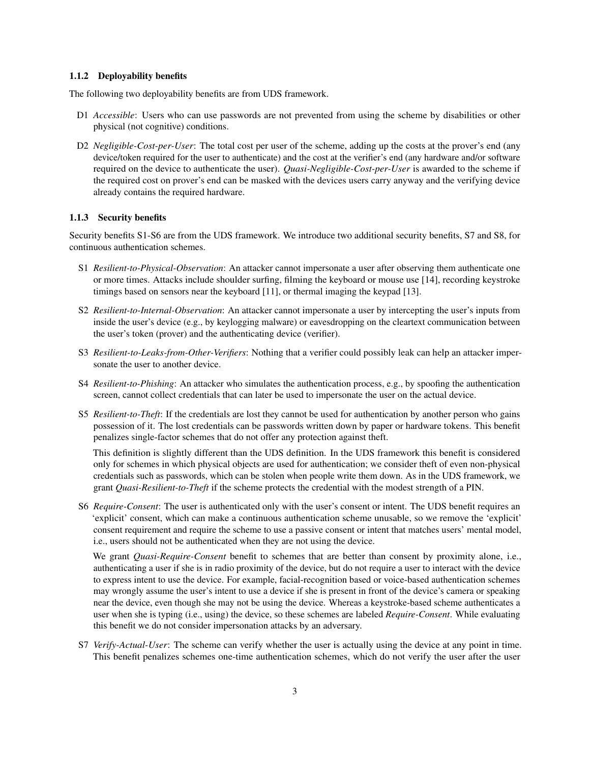#### 1.1.2 Deployability benefits

The following two deployability benefits are from UDS framework.

- D1 *Accessible*: Users who can use passwords are not prevented from using the scheme by disabilities or other physical (not cognitive) conditions.
- D2 *Negligible-Cost-per-User*: The total cost per user of the scheme, adding up the costs at the prover's end (any device/token required for the user to authenticate) and the cost at the verifier's end (any hardware and/or software required on the device to authenticate the user). *Quasi-Negligible-Cost-per-User* is awarded to the scheme if the required cost on prover's end can be masked with the devices users carry anyway and the verifying device already contains the required hardware.

## 1.1.3 Security benefits

Security benefits S1-S6 are from the UDS framework. We introduce two additional security benefits, S7 and S8, for continuous authentication schemes.

- S1 *Resilient-to-Physical-Observation*: An attacker cannot impersonate a user after observing them authenticate one or more times. Attacks include shoulder surfing, filming the keyboard or mouse use [\[14\]](#page-8-0), recording keystroke timings based on sensors near the keyboard [\[11\]](#page-7-2), or thermal imaging the keypad [\[13\]](#page-8-1).
- S2 *Resilient-to-Internal-Observation*: An attacker cannot impersonate a user by intercepting the user's inputs from inside the user's device (e.g., by keylogging malware) or eavesdropping on the cleartext communication between the user's token (prover) and the authenticating device (verifier).
- S3 *Resilient-to-Leaks-from-Other-Verifiers*: Nothing that a verifier could possibly leak can help an attacker impersonate the user to another device.
- S4 *Resilient-to-Phishing*: An attacker who simulates the authentication process, e.g., by spoofing the authentication screen, cannot collect credentials that can later be used to impersonate the user on the actual device.
- S5 *Resilient-to-Theft*: If the credentials are lost they cannot be used for authentication by another person who gains possession of it. The lost credentials can be passwords written down by paper or hardware tokens. This benefit penalizes single-factor schemes that do not offer any protection against theft.

This definition is slightly different than the UDS definition. In the UDS framework this benefit is considered only for schemes in which physical objects are used for authentication; we consider theft of even non-physical credentials such as passwords, which can be stolen when people write them down. As in the UDS framework, we grant *Quasi-Resilient-to-Theft* if the scheme protects the credential with the modest strength of a PIN.

S6 *Require-Consent*: The user is authenticated only with the user's consent or intent. The UDS benefit requires an 'explicit' consent, which can make a continuous authentication scheme unusable, so we remove the 'explicit' consent requirement and require the scheme to use a passive consent or intent that matches users' mental model, i.e., users should not be authenticated when they are not using the device.

We grant *Quasi-Require-Consent* benefit to schemes that are better than consent by proximity alone, i.e., authenticating a user if she is in radio proximity of the device, but do not require a user to interact with the device to express intent to use the device. For example, facial-recognition based or voice-based authentication schemes may wrongly assume the user's intent to use a device if she is present in front of the device's camera or speaking near the device, even though she may not be using the device. Whereas a keystroke-based scheme authenticates a user when she is typing (i.e., using) the device, so these schemes are labeled *Require-Consent*. While evaluating this benefit we do not consider impersonation attacks by an adversary.

S7 *Verify-Actual-User*: The scheme can verify whether the user is actually using the device at any point in time. This benefit penalizes schemes one-time authentication schemes, which do not verify the user after the user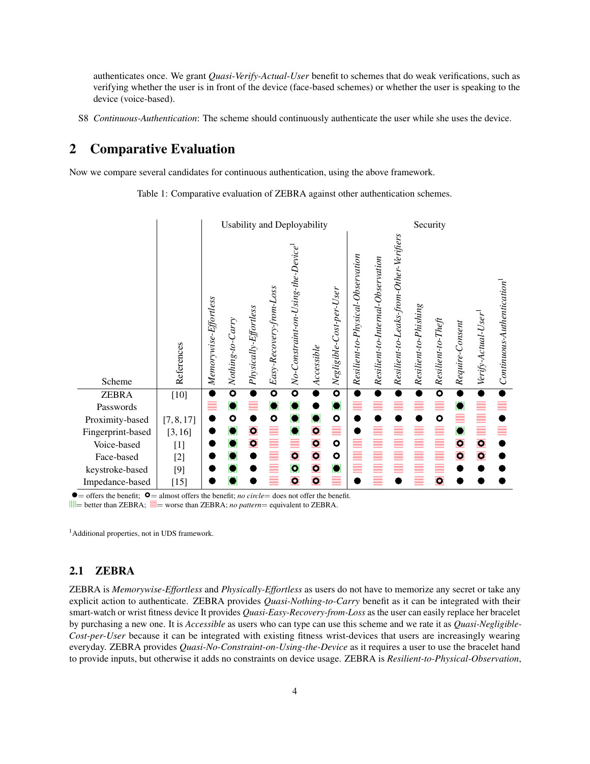authenticates once. We grant *Quasi-Verify-Actual-User* benefit to schemes that do weak verifications, such as verifying whether the user is in front of the device (face-based schemes) or whether the user is speaking to the device (voice-based).

S8 *Continuous-Authentication*: The scheme should continuously authenticate the user while she uses the device.

# 2 Comparative Evaluation

<span id="page-3-0"></span>Now we compare several candidates for continuous authentication, using the above framework.

Table 1: Comparative evaluation of ZEBRA against other authentication schemes.



 $\bullet$  = offers the benefit;  $\bullet$  = almost offers the benefit; *no circle* = does not offer the benefit.  $\parallel \parallel \parallel$  better than ZEBRA;  $\equiv$  worse than ZEBRA; *no pattern* = equivalent to ZEBRA.

<sup>1</sup>Additional properties, not in UDS framework.

# 2.1 ZEBRA

ZEBRA is *Memorywise-Effortless* and *Physically-Effortless* as users do not have to memorize any secret or take any explicit action to authenticate. ZEBRA provides *Quasi-Nothing-to-Carry* benefit as it can be integrated with their smart-watch or wrist fitness device It provides *Quasi-Easy-Recovery-from-Loss* as the user can easily replace her bracelet by purchasing a new one. It is *Accessible* as users who can type can use this scheme and we rate it as *Quasi-Negligible-Cost-per-User* because it can be integrated with existing fitness wrist-devices that users are increasingly wearing everyday. ZEBRA provides *Quasi-No-Constraint-on-Using-the-Device* as it requires a user to use the bracelet hand to provide inputs, but otherwise it adds no constraints on device usage. ZEBRA is *Resilient-to-Physical-Observation*,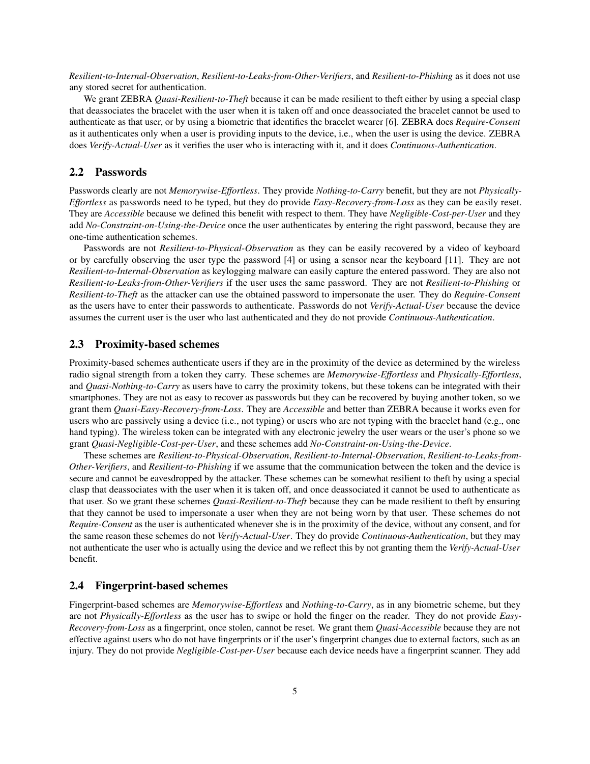*Resilient-to-Internal-Observation*, *Resilient-to-Leaks-from-Other-Verifiers*, and *Resilient-to-Phishing* as it does not use any stored secret for authentication.

We grant ZEBRA *Quasi-Resilient-to-Theft* because it can be made resilient to theft either by using a special clasp that deassociates the bracelet with the user when it is taken off and once deassociated the bracelet cannot be used to authenticate as that user, or by using a biometric that identifies the bracelet wearer [\[6\]](#page-7-9). ZEBRA does *Require-Consent* as it authenticates only when a user is providing inputs to the device, i.e., when the user is using the device. ZEBRA does *Verify-Actual-User* as it verifies the user who is interacting with it, and it does *Continuous-Authentication*.

## 2.2 Passwords

Passwords clearly are not *Memorywise-Effortless*. They provide *Nothing-to-Carry* benefit, but they are not *Physically-Effortless* as passwords need to be typed, but they do provide *Easy-Recovery-from-Loss* as they can be easily reset. They are *Accessible* because we defined this benefit with respect to them. They have *Negligible-Cost-per-User* and they add *No-Constraint-on-Using-the-Device* once the user authenticates by entering the right password, because they are one-time authentication schemes.

Passwords are not *Resilient-to-Physical-Observation* as they can be easily recovered by a video of keyboard or by carefully observing the user type the password [\[4\]](#page-7-10) or using a sensor near the keyboard [\[11\]](#page-7-2). They are not *Resilient-to-Internal-Observation* as keylogging malware can easily capture the entered password. They are also not *Resilient-to-Leaks-from-Other-Verifiers* if the user uses the same password. They are not *Resilient-to-Phishing* or *Resilient-to-Theft* as the attacker can use the obtained password to impersonate the user. They do *Require-Consent* as the users have to enter their passwords to authenticate. Passwords do not *Verify-Actual-User* because the device assumes the current user is the user who last authenticated and they do not provide *Continuous-Authentication*.

# 2.3 Proximity-based schemes

Proximity-based schemes authenticate users if they are in the proximity of the device as determined by the wireless radio signal strength from a token they carry. These schemes are *Memorywise-Effortless* and *Physically-Effortless*, and *Quasi-Nothing-to-Carry* as users have to carry the proximity tokens, but these tokens can be integrated with their smartphones. They are not as easy to recover as passwords but they can be recovered by buying another token, so we grant them *Quasi-Easy-Recovery-from-Loss*. They are *Accessible* and better than ZEBRA because it works even for users who are passively using a device (i.e., not typing) or users who are not typing with the bracelet hand (e.g., one hand typing). The wireless token can be integrated with any electronic jewelry the user wears or the user's phone so we grant *Quasi-Negligible-Cost-per-User*, and these schemes add *No-Constraint-on-Using-the-Device*.

These schemes are *Resilient-to-Physical-Observation*, *Resilient-to-Internal-Observation*, *Resilient-to-Leaks-from-Other-Verifiers*, and *Resilient-to-Phishing* if we assume that the communication between the token and the device is secure and cannot be eavesdropped by the attacker. These schemes can be somewhat resilient to theft by using a special clasp that deassociates with the user when it is taken off, and once deassociated it cannot be used to authenticate as that user. So we grant these schemes *Quasi-Resilient-to-Theft* because they can be made resilient to theft by ensuring that they cannot be used to impersonate a user when they are not being worn by that user. These schemes do not *Require-Consent* as the user is authenticated whenever she is in the proximity of the device, without any consent, and for the same reason these schemes do not *Verify-Actual-User*. They do provide *Continuous-Authentication*, but they may not authenticate the user who is actually using the device and we reflect this by not granting them the *Verify-Actual-User* benefit.

## 2.4 Fingerprint-based schemes

Fingerprint-based schemes are *Memorywise-Effortless* and *Nothing-to-Carry*, as in any biometric scheme, but they are not *Physically-Effortless* as the user has to swipe or hold the finger on the reader. They do not provide *Easy-Recovery-from-Loss* as a fingerprint, once stolen, cannot be reset. We grant them *Quasi-Accessible* because they are not effective against users who do not have fingerprints or if the user's fingerprint changes due to external factors, such as an injury. They do not provide *Negligible-Cost-per-User* because each device needs have a fingerprint scanner. They add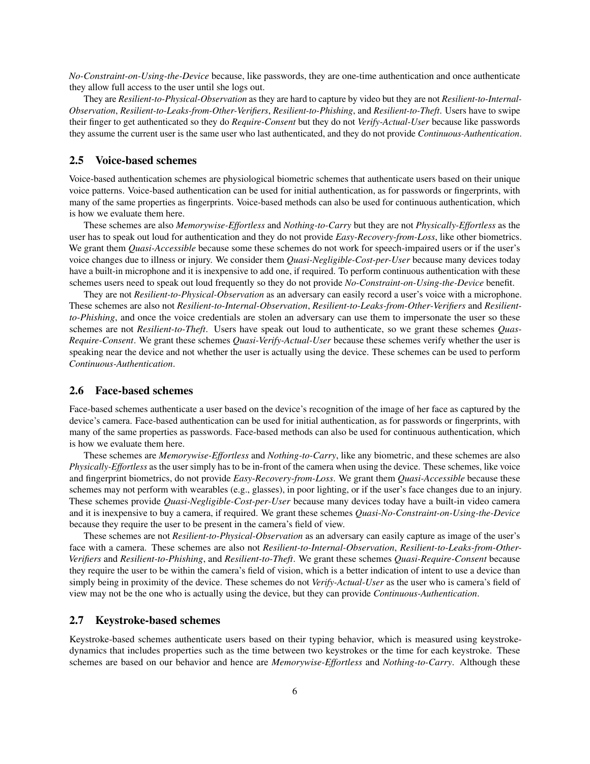*No-Constraint-on-Using-the-Device* because, like passwords, they are one-time authentication and once authenticate they allow full access to the user until she logs out.

They are *Resilient-to-Physical-Observation* as they are hard to capture by video but they are not *Resilient-to-Internal-Observation*, *Resilient-to-Leaks-from-Other-Verifiers*, *Resilient-to-Phishing*, and *Resilient-to-Theft*. Users have to swipe their finger to get authenticated so they do *Require-Consent* but they do not *Verify-Actual-User* because like passwords they assume the current user is the same user who last authenticated, and they do not provide *Continuous-Authentication*.

## 2.5 Voice-based schemes

Voice-based authentication schemes are physiological biometric schemes that authenticate users based on their unique voice patterns. Voice-based authentication can be used for initial authentication, as for passwords or fingerprints, with many of the same properties as fingerprints. Voice-based methods can also be used for continuous authentication, which is how we evaluate them here.

These schemes are also *Memorywise-Effortless* and *Nothing-to-Carry* but they are not *Physically-Effortless* as the user has to speak out loud for authentication and they do not provide *Easy-Recovery-from-Loss*, like other biometrics. We grant them *Quasi-Accessible* because some these schemes do not work for speech-impaired users or if the user's voice changes due to illness or injury. We consider them *Quasi-Negligible-Cost-per-User* because many devices today have a built-in microphone and it is inexpensive to add one, if required. To perform continuous authentication with these schemes users need to speak out loud frequently so they do not provide *No-Constraint-on-Using-the-Device* benefit.

They are not *Resilient-to-Physical-Observation* as an adversary can easily record a user's voice with a microphone. These schemes are also not *Resilient-to-Internal-Observation*, *Resilient-to-Leaks-from-Other-Verifiers* and *Resilientto-Phishing*, and once the voice credentials are stolen an adversary can use them to impersonate the user so these schemes are not *Resilient-to-Theft*. Users have speak out loud to authenticate, so we grant these schemes *Quas-Require-Consent*. We grant these schemes *Quasi-Verify-Actual-User* because these schemes verify whether the user is speaking near the device and not whether the user is actually using the device. These schemes can be used to perform *Continuous-Authentication*.

## 2.6 Face-based schemes

Face-based schemes authenticate a user based on the device's recognition of the image of her face as captured by the device's camera. Face-based authentication can be used for initial authentication, as for passwords or fingerprints, with many of the same properties as passwords. Face-based methods can also be used for continuous authentication, which is how we evaluate them here.

These schemes are *Memorywise-Effortless* and *Nothing-to-Carry*, like any biometric, and these schemes are also *Physically-Effortless* as the user simply has to be in-front of the camera when using the device. These schemes, like voice and fingerprint biometrics, do not provide *Easy-Recovery-from-Loss*. We grant them *Quasi-Accessible* because these schemes may not perform with wearables (e.g., glasses), in poor lighting, or if the user's face changes due to an injury. These schemes provide *Quasi-Negligible-Cost-per-User* because many devices today have a built-in video camera and it is inexpensive to buy a camera, if required. We grant these schemes *Quasi-No-Constraint-on-Using-the-Device* because they require the user to be present in the camera's field of view.

These schemes are not *Resilient-to-Physical-Observation* as an adversary can easily capture as image of the user's face with a camera. These schemes are also not *Resilient-to-Internal-Observation*, *Resilient-to-Leaks-from-Other-Verifiers* and *Resilient-to-Phishing*, and *Resilient-to-Theft*. We grant these schemes *Quasi-Require-Consent* because they require the user to be within the camera's field of vision, which is a better indication of intent to use a device than simply being in proximity of the device. These schemes do not *Verify-Actual-User* as the user who is camera's field of view may not be the one who is actually using the device, but they can provide *Continuous-Authentication*.

## 2.7 Keystroke-based schemes

Keystroke-based schemes authenticate users based on their typing behavior, which is measured using keystrokedynamics that includes properties such as the time between two keystrokes or the time for each keystroke. These schemes are based on our behavior and hence are *Memorywise-Effortless* and *Nothing-to-Carry*. Although these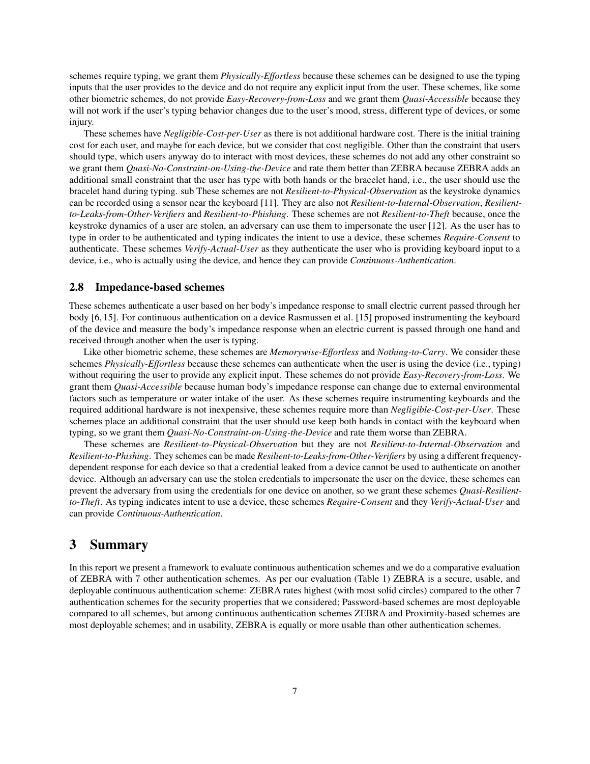schemes require typing, we grant them *Physically-Effortless* because these schemes can be designed to use the typing inputs that the user provides to the device and do not require any explicit input from the user. These schemes, like some other biometric schemes, do not provide *Easy-Recovery-from-Loss* and we grant them *Quasi-Accessible* because they will not work if the user's typing behavior changes due to the user's mood, stress, different type of devices, or some injury.

These schemes have *Negligible-Cost-per-User* as there is not additional hardware cost. There is the initial training cost for each user, and maybe for each device, but we consider that cost negligible. Other than the constraint that users should type, which users anyway do to interact with most devices, these schemes do not add any other constraint so we grant them *Quasi-No-Constraint-on-Using-the-Device* and rate them better than ZEBRA because ZEBRA adds an additional small constraint that the user has type with both hands or the bracelet hand, i.e., the user should use the bracelet hand during typing. sub These schemes are not *Resilient-to-Physical-Observation* as the keystroke dynamics can be recorded using a sensor near the keyboard [\[11\]](#page-7-2). They are also not *Resilient-to-Internal-Observation*, *Resilientto-Leaks-from-Other-Verifiers* and *Resilient-to-Phishing*. These schemes are not *Resilient-to-Theft* because, once the keystroke dynamics of a user are stolen, an adversary can use them to impersonate the user [\[12\]](#page-7-11). As the user has to type in order to be authenticated and typing indicates the intent to use a device, these schemes *Require-Consent* to authenticate. These schemes *Verify-Actual-User* as they authenticate the user who is providing keyboard input to a device, i.e., who is actually using the device, and hence they can provide *Continuous-Authentication*.

#### 2.8 Impedance-based schemes

These schemes authenticate a user based on her body's impedance response to small electric current passed through her body [\[6,](#page-7-9) [15\]](#page-8-4). For continuous authentication on a device Rasmussen et al. [\[15\]](#page-8-4) proposed instrumenting the keyboard of the device and measure the body's impedance response when an electric current is passed through one hand and received through another when the user is typing.

Like other biometric scheme, these schemes are *Memorywise-Effortless* and *Nothing-to-Carry*. We consider these schemes *Physically-Effortless* because these schemes can authenticate when the user is using the device (i.e., typing) without requiring the user to provide any explicit input. These schemes do not provide *Easy-Recovery-from-Loss*. We grant them *Quasi-Accessible* because human body's impedance response can change due to external environmental factors such as temperature or water intake of the user. As these schemes require instrumenting keyboards and the required additional hardware is not inexpensive, these schemes require more than *Negligible-Cost-per-User*. These schemes place an additional constraint that the user should use keep both hands in contact with the keyboard when typing, so we grant them *Quasi-No-Constraint-on-Using-the-Device* and rate them worse than ZEBRA.

These schemes are *Resilient-to-Physical-Observation* but they are not *Resilient-to-Internal-Observation* and *Resilient-to-Phishing*. They schemes can be made *Resilient-to-Leaks-from-Other-Verifiers* by using a different frequencydependent response for each device so that a credential leaked from a device cannot be used to authenticate on another device. Although an adversary can use the stolen credentials to impersonate the user on the device, these schemes can prevent the adversary from using the credentials for one device on another, so we grant these schemes *Quasi-Resilientto-Theft*. As typing indicates intent to use a device, these schemes *Require-Consent* and they *Verify-Actual-User* and can provide *Continuous-Authentication*.

# 3 Summary

In this report we present a framework to evaluate continuous authentication schemes and we do a comparative evaluation of ZEBRA with 7 other authentication schemes. As per our evaluation (Table [1\)](#page-3-0) ZEBRA is a secure, usable, and deployable continuous authentication scheme: ZEBRA rates highest (with most solid circles) compared to the other 7 authentication schemes for the security properties that we considered; Password-based schemes are most deployable compared to all schemes, but among continuous authentication schemes ZEBRA and Proximity-based schemes are most deployable schemes; and in usability, ZEBRA is equally or more usable than other authentication schemes.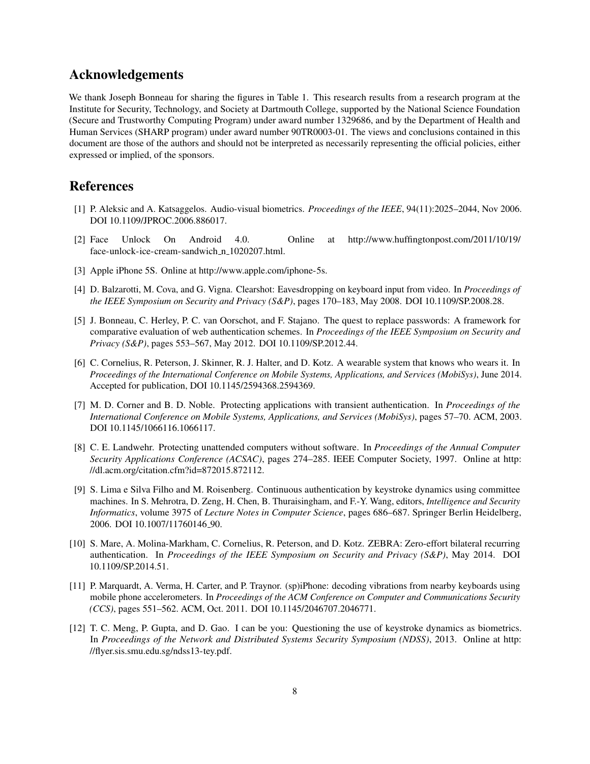# Acknowledgements

We thank Joseph Bonneau for sharing the figures in Table [1.](#page-3-0) This research results from a research program at the Institute for Security, Technology, and Society at Dartmouth College, supported by the National Science Foundation (Secure and Trustworthy Computing Program) under award number 1329686, and by the Department of Health and Human Services (SHARP program) under award number 90TR0003-01. The views and conclusions contained in this document are those of the authors and should not be interpreted as necessarily representing the official policies, either expressed or implied, of the sponsors.

# References

- <span id="page-7-6"></span>[1] P. Aleksic and A. Katsaggelos. Audio-visual biometrics. *Proceedings of the IEEE*, 94(11):2025–2044, Nov 2006. DOI [10.1109/JPROC.2006.886017.](http://dx.doi.org/10.1109/JPROC.2006.886017)
- <span id="page-7-7"></span>[2] Face Unlock On Android 4.0. Online at [http://www.huffingtonpost.com/2011/10/19/](http://www.huffingtonpost.com/2011/10/19/face-unlock-ice-cream-sandwich_n_1020207.html) [face-unlock-ice-cream-sandwich](http://www.huffingtonpost.com/2011/10/19/face-unlock-ice-cream-sandwich_n_1020207.html)\_n\_1020207.html.
- <span id="page-7-5"></span>[3] Apple iPhone 5S. Online at [http://www.apple.com/iphone-5s.](http://www.apple.com/iphone-5s)
- <span id="page-7-10"></span>[4] D. Balzarotti, M. Cova, and G. Vigna. Clearshot: Eavesdropping on keyboard input from video. In *Proceedings of the IEEE Symposium on Security and Privacy (S&P)*, pages 170–183, May 2008. DOI [10.1109/SP.2008.28.](http://dx.doi.org/10.1109/SP.2008.28)
- <span id="page-7-1"></span>[5] J. Bonneau, C. Herley, P. C. van Oorschot, and F. Stajano. The quest to replace passwords: A framework for comparative evaluation of web authentication schemes. In *Proceedings of the IEEE Symposium on Security and Privacy (S&P)*, pages 553–567, May 2012. DOI [10.1109/SP.2012.44.](http://dx.doi.org/10.1109/SP.2012.44)
- <span id="page-7-9"></span>[6] C. Cornelius, R. Peterson, J. Skinner, R. J. Halter, and D. Kotz. A wearable system that knows who wears it. In *Proceedings of the International Conference on Mobile Systems, Applications, and Services (MobiSys)*, June 2014. Accepted for publication, DOI [10.1145/2594368.2594369.](http://dx.doi.org/10.1145/2594368.2594369)
- <span id="page-7-3"></span>[7] M. D. Corner and B. D. Noble. Protecting applications with transient authentication. In *Proceedings of the International Conference on Mobile Systems, Applications, and Services (MobiSys)*, pages 57–70. ACM, 2003. DOI [10.1145/1066116.1066117.](http://dx.doi.org/10.1145/1066116.1066117)
- <span id="page-7-4"></span>[8] C. E. Landwehr. Protecting unattended computers without software. In *Proceedings of the Annual Computer Security Applications Conference (ACSAC)*, pages 274–285. IEEE Computer Society, 1997. Online at [http:](http://dl.acm.org/citation.cfm?id=872015.872112) [//dl.acm.org/citation.cfm?id=872015.872112.](http://dl.acm.org/citation.cfm?id=872015.872112)
- <span id="page-7-8"></span>[9] S. Lima e Silva Filho and M. Roisenberg. Continuous authentication by keystroke dynamics using committee machines. In S. Mehrotra, D. Zeng, H. Chen, B. Thuraisingham, and F.-Y. Wang, editors, *Intelligence and Security Informatics*, volume 3975 of *Lecture Notes in Computer Science*, pages 686–687. Springer Berlin Heidelberg, 2006. DOI [10.1007/11760146](http://dx.doi.org/10.1007/11760146_90) 90.
- <span id="page-7-0"></span>[10] S. Mare, A. Molina-Markham, C. Cornelius, R. Peterson, and D. Kotz. ZEBRA: Zero-effort bilateral recurring authentication. In *Proceedings of the IEEE Symposium on Security and Privacy (S&P)*, May 2014. DOI [10.1109/SP.2014.51.](http://dx.doi.org/10.1109/SP.2014.51)
- <span id="page-7-2"></span>[11] P. Marquardt, A. Verma, H. Carter, and P. Traynor. (sp)iPhone: decoding vibrations from nearby keyboards using mobile phone accelerometers. In *Proceedings of the ACM Conference on Computer and Communications Security (CCS)*, pages 551–562. ACM, Oct. 2011. DOI [10.1145/2046707.2046771.](http://dx.doi.org/10.1145/2046707.2046771)
- <span id="page-7-11"></span>[12] T. C. Meng, P. Gupta, and D. Gao. I can be you: Questioning the use of keystroke dynamics as biometrics. In *Proceedings of the Network and Distributed Systems Security Symposium (NDSS)*, 2013. Online at [http:](http://flyer.sis.smu.edu.sg/ndss13-tey.pdf) [//flyer.sis.smu.edu.sg/ndss13-tey.pdf.](http://flyer.sis.smu.edu.sg/ndss13-tey.pdf)